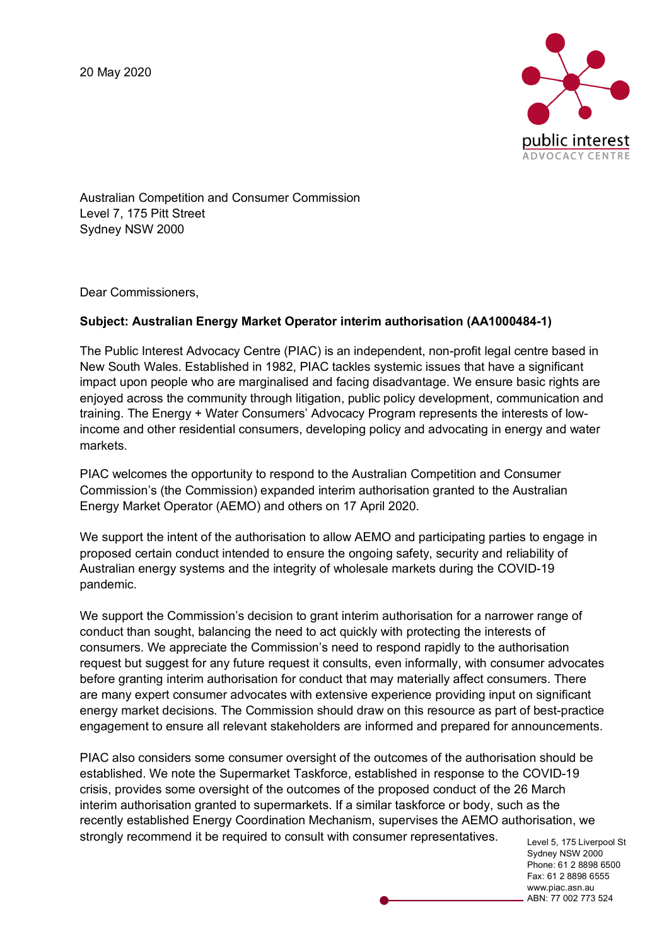

Australian Competition and Consumer Commission Level 7, 175 Pitt Street Sydney NSW 2000

Dear Commissioners,

## **Subject: Australian Energy Market Operator interim authorisation (AA1000484-1)**

The Public Interest Advocacy Centre (PIAC) is an independent, non-profit legal centre based in New South Wales. Established in 1982, PIAC tackles systemic issues that have a significant impact upon people who are marginalised and facing disadvantage. We ensure basic rights are enjoyed across the community through litigation, public policy development, communication and training. The Energy + Water Consumers' Advocacy Program represents the interests of lowincome and other residential consumers, developing policy and advocating in energy and water markets.

PIAC welcomes the opportunity to respond to the Australian Competition and Consumer Commission's (the Commission) expanded interim authorisation granted to the Australian Energy Market Operator (AEMO) and others on 17 April 2020.

We support the intent of the authorisation to allow AEMO and participating parties to engage in proposed certain conduct intended to ensure the ongoing safety, security and reliability of Australian energy systems and the integrity of wholesale markets during the COVID-19 pandemic.

We support the Commission's decision to grant interim authorisation for a narrower range of conduct than sought, balancing the need to act quickly with protecting the interests of consumers. We appreciate the Commission's need to respond rapidly to the authorisation request but suggest for any future request it consults, even informally, with consumer advocates before granting interim authorisation for conduct that may materially affect consumers. There are many expert consumer advocates with extensive experience providing input on significant energy market decisions. The Commission should draw on this resource as part of best-practice engagement to ensure all relevant stakeholders are informed and prepared for announcements.

PIAC also considers some consumer oversight of the outcomes of the authorisation should be established. We note the Supermarket Taskforce, established in response to the COVID-19 crisis, provides some oversight of the outcomes of the proposed conduct of the 26 March interim authorisation granted to supermarkets. If a similar taskforce or body, such as the recently established Energy Coordination Mechanism, supervises the AEMO authorisation, we strongly recommend it be required to consult with consumer representatives.

Level 5, 175 Liverpool St Sydney NSW 2000 Phone: 61 2 8898 6500 Fax: 61 2 8898 6555 www.piac.asn.au ABN: 77 002 773 524